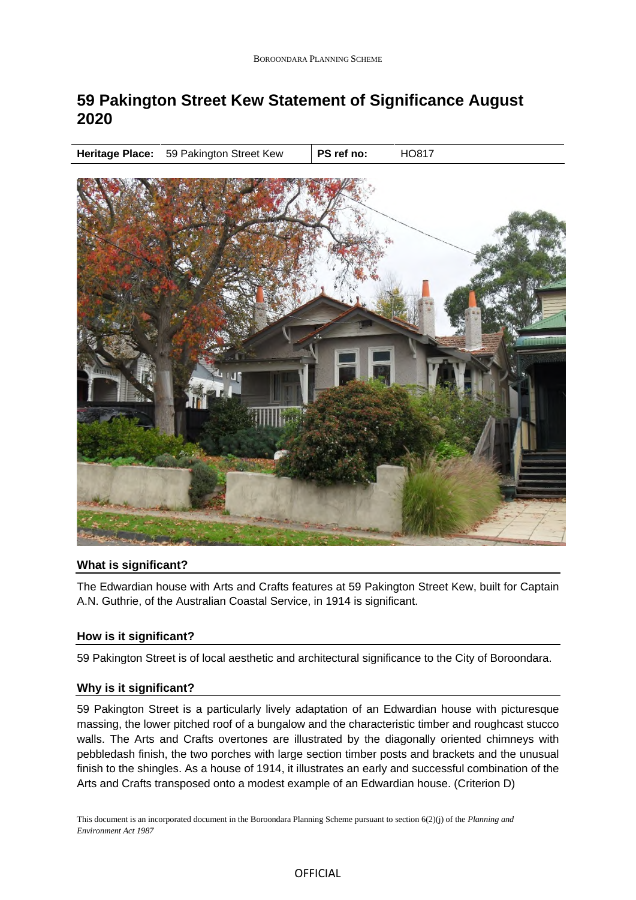# **59 Pakington Street Kew Statement of Significance August 2020**

**Heritage Place:** 59 Pakington Street Kew | PS ref no: **HO817** 



# **What is significant?**

The Edwardian house with Arts and Crafts features at 59 Pakington Street Kew, built for Captain A.N. Guthrie, of the Australian Coastal Service, in 1914 is significant.

# **How is it significant?**

59 Pakington Street is of local aesthetic and architectural significance to the City of Boroondara.

#### **Why is it significant?**

59 Pakington Street is a particularly lively adaptation of an Edwardian house with picturesque massing, the lower pitched roof of a bungalow and the characteristic timber and roughcast stucco walls. The Arts and Crafts overtones are illustrated by the diagonally oriented chimneys with pebbledash finish, the two porches with large section timber posts and brackets and the unusual finish to the shingles. As a house of 1914, it illustrates an early and successful combination of the Arts and Crafts transposed onto a modest example of an Edwardian house. (Criterion D)

This document is an incorporated document in the Boroondara Planning Scheme pursuant to section 6(2)(j) of the *Planning and Environment Act 1987*

## **OFFICIAL**